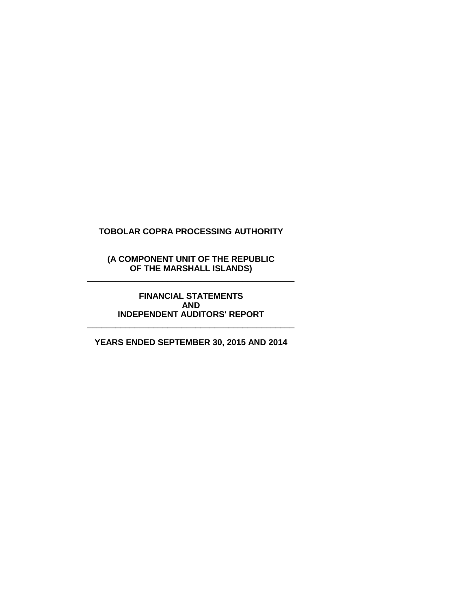**(A COMPONENT UNIT OF THE REPUBLIC OF THE MARSHALL ISLANDS)** \_\_\_\_\_\_\_\_\_\_\_\_\_\_\_\_\_\_\_\_\_\_\_\_\_\_\_\_\_\_\_\_\_\_\_\_\_\_\_\_\_\_\_\_

> **FINANCIAL STATEMENTS AND INDEPENDENT AUDITORS' REPORT**

**YEARS ENDED SEPTEMBER 30, 2015 AND 2014**

\_\_\_\_\_\_\_\_\_\_\_\_\_\_\_\_\_\_\_\_\_\_\_\_\_\_\_\_\_\_\_\_\_\_\_\_\_\_\_\_\_\_\_\_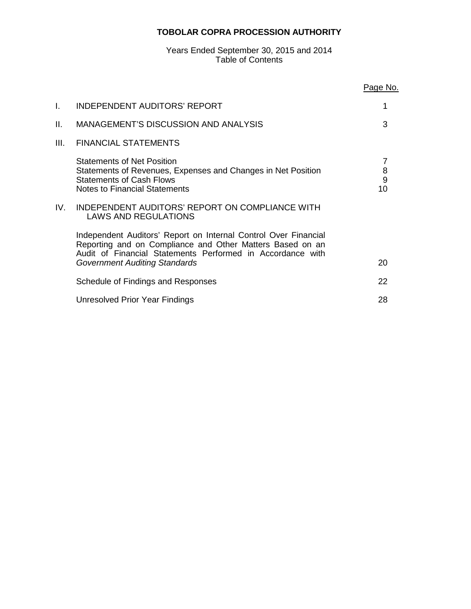# Years Ended September 30, 2015 and 2014 Table of Contents

|      |                                                                                                                                                                                                                                    | Page No.                 |
|------|------------------------------------------------------------------------------------------------------------------------------------------------------------------------------------------------------------------------------------|--------------------------|
| L.   | INDEPENDENT AUDITORS' REPORT                                                                                                                                                                                                       |                          |
| Ш.   | MANAGEMENT'S DISCUSSION AND ANALYSIS                                                                                                                                                                                               | 3                        |
| III. | <b>FINANCIAL STATEMENTS</b>                                                                                                                                                                                                        |                          |
|      | <b>Statements of Net Position</b><br>Statements of Revenues, Expenses and Changes in Net Position<br><b>Statements of Cash Flows</b><br><b>Notes to Financial Statements</b>                                                       | 7<br>$\frac{8}{9}$<br>10 |
| IV.  | INDEPENDENT AUDITORS' REPORT ON COMPLIANCE WITH<br><b>LAWS AND REGULATIONS</b>                                                                                                                                                     |                          |
|      | Independent Auditors' Report on Internal Control Over Financial<br>Reporting and on Compliance and Other Matters Based on an<br>Audit of Financial Statements Performed in Accordance with<br><b>Government Auditing Standards</b> | 20                       |
|      | Schedule of Findings and Responses                                                                                                                                                                                                 | 22                       |
|      | Unresolved Prior Year Findings                                                                                                                                                                                                     | 28                       |
|      |                                                                                                                                                                                                                                    |                          |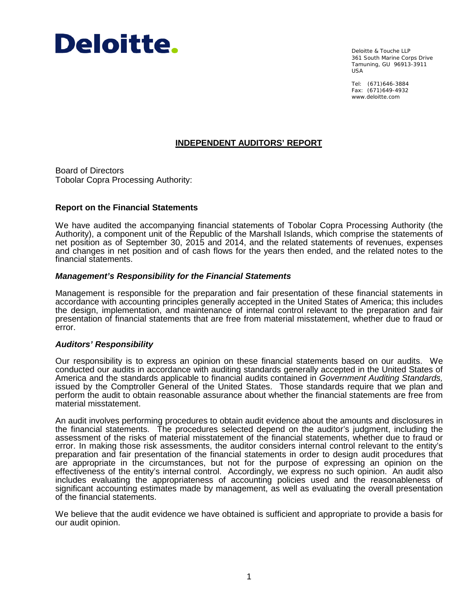

Deloitte & Touche LLP 361 South Marine Corps Drive Tamuning, GU 96913-3911 USA

Tel: (671)646-3884 Fax: (671)649-4932 www.deloitte.com

# **INDEPENDENT AUDITORS' REPORT**

Board of Directors Tobolar Copra Processing Authority:

## **Report on the Financial Statements**

We have audited the accompanying financial statements of Tobolar Copra Processing Authority (the Authority), a component unit of the Republic of the Marshall Islands, which comprise the statements of net position as of September 30, 2015 and 2014, and the related statements of revenues, expenses and changes in net position and of cash flows for the years then ended, and the related notes to the financial statements.

## *Management's Responsibility for the Financial Statements*

Management is responsible for the preparation and fair presentation of these financial statements in accordance with accounting principles generally accepted in the United States of America; this includes the design, implementation, and maintenance of internal control relevant to the preparation and fair presentation of financial statements that are free from material misstatement, whether due to fraud or error.

## *Auditors' Responsibility*

Our responsibility is to express an opinion on these financial statements based on our audits. We conducted our audits in accordance with auditing standards generally accepted in the United States of America and the standards applicable to financial audits contained in *Government Auditing Standards,* issued by the Comptroller General of the United States. Those standards require that we plan and perform the audit to obtain reasonable assurance about whether the financial statements are free from material misstatement.

An audit involves performing procedures to obtain audit evidence about the amounts and disclosures in the financial statements. The procedures selected depend on the auditor's judgment, including the assessment of the risks of material misstatement of the financial statements, whether due to fraud or error. In making those risk assessments, the auditor considers internal control relevant to the entity's preparation and fair presentation of the financial statements in order to design audit procedures that are appropriate in the circumstances, but not for the purpose of expressing an opinion on the effectiveness of the entity's internal control. Accordingly, we express no such opinion. An audit also includes evaluating the appropriateness of accounting policies used and the reasonableness of significant accounting estimates made by management, as well as evaluating the overall presentation of the financial statements.

We believe that the audit evidence we have obtained is sufficient and appropriate to provide a basis for our audit opinion.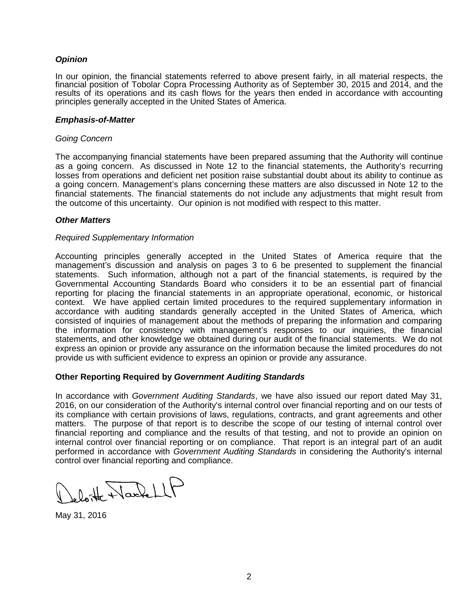# *Opinion*

In our opinion, the financial statements referred to above present fairly, in all material respects, the financial position of Tobolar Copra Processing Authority as of September 30, 2015 and 2014, and the results of its operations and its cash flows for the years then ended in accordance with accounting principles generally accepted in the United States of America.

## *Emphasis-of-Matter*

### *Going Concern*

The accompanying financial statements have been prepared assuming that the Authority will continue as a going concern. As discussed in Note 12 to the financial statements, the Authority's recurring losses from operations and deficient net position raise substantial doubt about its ability to continue as a going concern. Management's plans concerning these matters are also discussed in Note 12 to the financial statements. The financial statements do not include any adjustments that might result from the outcome of this uncertainty. Our opinion is not modified with respect to this matter.

## *Other Matters*

### *Required Supplementary Information*

Accounting principles generally accepted in the United States of America require that the management's discussion and analysis on pages 3 to 6 be presented to supplement the financial statements. Such information, although not a part of the financial statements, is required by the Governmental Accounting Standards Board who considers it to be an essential part of financial reporting for placing the financial statements in an appropriate operational, economic, or historical context. We have applied certain limited procedures to the required supplementary information in accordance with auditing standards generally accepted in the United States of America, which consisted of inquiries of management about the methods of preparing the information and comparing the information for consistency with management's responses to our inquiries, the financial statements, and other knowledge we obtained during our audit of the financial statements. We do not express an opinion or provide any assurance on the information because the limited procedures do not provide us with sufficient evidence to express an opinion or provide any assurance.

## **Other Reporting Required by** *Government Auditing Standards*

In accordance with *Government Auditing Standards*, we have also issued our report dated May 31, 2016, on our consideration of the Authority's internal control over financial reporting and on our tests of its compliance with certain provisions of laws, regulations, contracts, and grant agreements and other matters. The purpose of that report is to describe the scope of our testing of internal control over financial reporting and compliance and the results of that testing, and not to provide an opinion on internal control over financial reporting or on compliance. That report is an integral part of an audit performed in accordance with *Government Auditing Standards* in considering the Authority's internal control over financial reporting and compliance.

beloit NachellP

May 31, 2016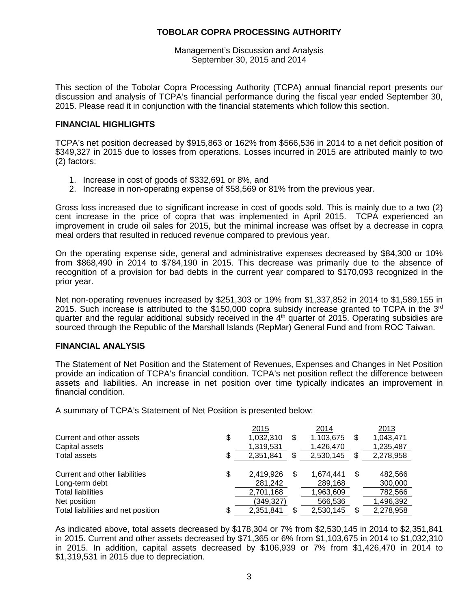Management's Discussion and Analysis September 30, 2015 and 2014

This section of the Tobolar Copra Processing Authority (TCPA) annual financial report presents our discussion and analysis of TCPA's financial performance during the fiscal year ended September 30, 2015. Please read it in conjunction with the financial statements which follow this section.

## **FINANCIAL HIGHLIGHTS**

TCPA's net position decreased by \$915,863 or 162% from \$566,536 in 2014 to a net deficit position of \$349,327 in 2015 due to losses from operations. Losses incurred in 2015 are attributed mainly to two (2) factors:

- 1. Increase in cost of goods of \$332,691 or 8%, and
- 2. Increase in non-operating expense of \$58,569 or 81% from the previous year.

Gross loss increased due to significant increase in cost of goods sold. This is mainly due to a two (2) cent increase in the price of copra that was implemented in April 2015. TCPA experienced an improvement in crude oil sales for 2015, but the minimal increase was offset by a decrease in copra meal orders that resulted in reduced revenue compared to previous year.

On the operating expense side, general and administrative expenses decreased by \$84,300 or 10% from \$868,490 in 2014 to \$784,190 in 2015. This decrease was primarily due to the absence of recognition of a provision for bad debts in the current year compared to \$170,093 recognized in the prior year.

Net non-operating revenues increased by \$251,303 or 19% from \$1,337,852 in 2014 to \$1,589,155 in 2015. Such increase is attributed to the \$150,000 copra subsidy increase granted to TCPA in the  $3<sup>rd</sup>$ quarter and the regular additional subsidy received in the  $4<sup>th</sup>$  quarter of 2015. Operating subsidies are sourced through the Republic of the Marshall Islands (RepMar) General Fund and from ROC Taiwan.

## **FINANCIAL ANALYSIS**

The Statement of Net Position and the Statement of Revenues, Expenses and Changes in Net Position provide an indication of TCPA's financial condition. TCPA's net position reflect the difference between assets and liabilities. An increase in net position over time typically indicates an improvement in financial condition.

A summary of TCPA's Statement of Net Position is presented below:

|                                    | 2015            |    | 2014      |     | 2013      |
|------------------------------------|-----------------|----|-----------|-----|-----------|
| Current and other assets           | \$<br>1,032,310 | \$ | 1,103,675 | \$  | 1,043,471 |
| Capital assets                     | 1,319,531       |    | 1,426,470 |     | 1,235,487 |
| <b>Total assets</b>                | \$<br>2,351,841 | \$ | 2,530,145 | \$. | 2,278,958 |
|                                    |                 |    |           |     |           |
| Current and other liabilities      | \$<br>2,419,926 | S  | 1,674,441 |     | 482.566   |
| Long-term debt                     | 281,242         |    | 289,168   |     | 300,000   |
| <b>Total liabilities</b>           | 2,701,168       |    | 1,963,609 |     | 782,566   |
| Net position                       | (349, 327)      |    | 566,536   |     | 1,496,392 |
| Total liabilities and net position | \$<br>2,351,841 | \$ | 2,530,145 |     | 2,278,958 |

As indicated above, total assets decreased by \$178,304 or 7% from \$2,530,145 in 2014 to \$2,351,841 in 2015. Current and other assets decreased by \$71,365 or 6% from \$1,103,675 in 2014 to \$1,032,310 in 2015. In addition, capital assets decreased by \$106,939 or 7% from \$1,426,470 in 2014 to \$1,319,531 in 2015 due to depreciation.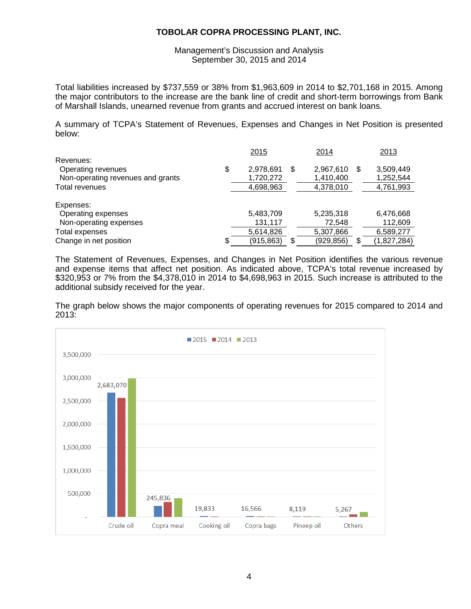# **TOBOLAR COPRA PROCESSING PLANT, INC.**

Management's Discussion and Analysis September 30, 2015 and 2014

Total liabilities increased by \$737,559 or 38% from \$1,963,609 in 2014 to \$2,701,168 in 2015. Among the major contributors to the increase are the bank line of credit and short-term borrowings from Bank of Marshall Islands, unearned revenue from grants and accrued interest on bank loans.

A summary of TCPA's Statement of Revenues, Expenses and Changes in Net Position is presented below:

|                                   | 2015             |   | 2014       | 2013        |
|-----------------------------------|------------------|---|------------|-------------|
| Revenues:                         |                  |   |            |             |
| Operating revenues                | \$<br>2,978,691  | S | 2,967,610  | 3,509,449   |
| Non-operating revenues and grants | 1,720,272        |   | 1,410,400  | 1,252,544   |
| Total revenues                    | 4,698,963        |   | 4,378,010  | 4,761,993   |
|                                   |                  |   |            |             |
| Expenses:                         |                  |   |            |             |
| Operating expenses                | 5,483,709        |   | 5,235,318  | 6,476,668   |
| Non-operating expenses            | 131,117          |   | 72,548     | 112,609     |
| Total expenses                    | 5,614,826        |   | 5,307,866  | 6,589,277   |
| Change in net position            | \$<br>(915, 863) | S | (929, 856) | (1,827,284) |

The Statement of Revenues, Expenses, and Changes in Net Position identifies the various revenue and expense items that affect net position. As indicated above, TCPA's total revenue increased by \$320,953 or 7% from the \$4,378,010 in 2014 to \$4,698,963 in 2015. Such increase is attributed to the additional subsidy received for the year.

The graph below shows the major components of operating revenues for 2015 compared to 2014 and  $2013:$ 

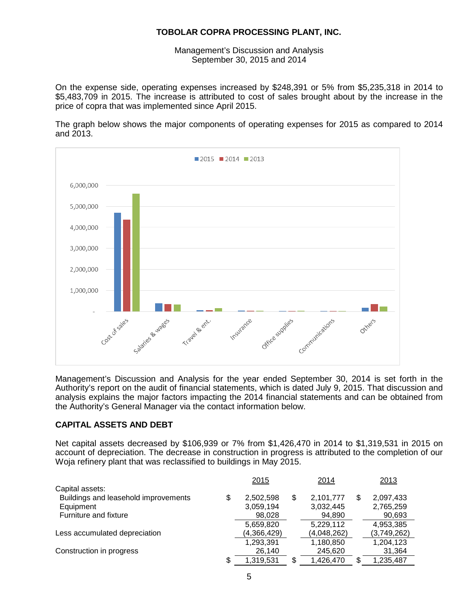# **TOBOLAR COPRA PROCESSING PLANT, INC.**

Management's Discussion and Analysis September 30, 2015 and 2014

On the expense side, operating expenses increased by \$248,391 or 5% from \$5,235,318 in 2014 to \$5,483,709 in 2015. The increase is attributed to cost of sales brought about by the increase in the price of copra that was implemented since April 2015.

The graph below shows the major components of operating expenses for 2015 as compared to 2014 and 2013.



Management's Discussion and Analysis for the year ended September 30, 2014 is set forth in the Authority's report on the audit of financial statements, which is dated July 9, 2015. That discussion and analysis explains the major factors impacting the 2014 financial statements and can be obtained from the Authority's General Manager via the contact information below.

## **CAPITAL ASSETS AND DEBT**

Net capital assets decreased by \$106,939 or 7% from \$1,426,470 in 2014 to \$1,319,531 in 2015 on account of depreciation. The decrease in construction in progress is attributed to the completion of our Woja refinery plant that was reclassified to buildings in May 2015.

|                                      | 2015            |    | 2014        | 2013        |
|--------------------------------------|-----------------|----|-------------|-------------|
| Capital assets:                      |                 |    |             |             |
| Buildings and leasehold improvements | \$<br>2,502,598 | \$ | 2,101,777   | 2,097,433   |
| Equipment                            | 3,059,194       |    | 3,032,445   | 2,765,259   |
| Furniture and fixture                | 98,028          |    | 94,890      | 90,693      |
|                                      | 5,659,820       |    | 5,229,112   | 4,953,385   |
| Less accumulated depreciation        | (4,366,429)     |    | (4,048,262) | (3,749,262) |
|                                      | 1,293,391       |    | 1,180,850   | 1,204,123   |
| Construction in progress             | 26,140          |    | 245,620     | 31,364      |
|                                      | \$<br>1,319,531 | S  | 1,426,470   | 1,235,487   |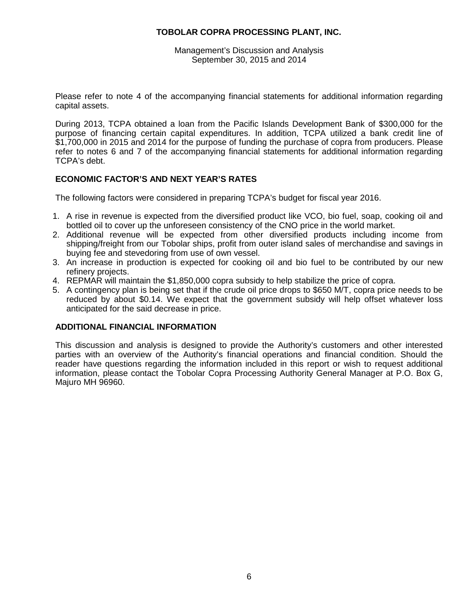# **TOBOLAR COPRA PROCESSING PLANT, INC.**

Management's Discussion and Analysis September 30, 2015 and 2014

Please refer to note 4 of the accompanying financial statements for additional information regarding capital assets.

During 2013, TCPA obtained a loan from the Pacific Islands Development Bank of \$300,000 for the purpose of financing certain capital expenditures. In addition, TCPA utilized a bank credit line of \$1,700,000 in 2015 and 2014 for the purpose of funding the purchase of copra from producers. Please refer to notes 6 and 7 of the accompanying financial statements for additional information regarding TCPA's debt.

# **ECONOMIC FACTOR'S AND NEXT YEAR'S RATES**

The following factors were considered in preparing TCPA's budget for fiscal year 2016.

- 1. A rise in revenue is expected from the diversified product like VCO, bio fuel, soap, cooking oil and bottled oil to cover up the unforeseen consistency of the CNO price in the world market.
- 2. Additional revenue will be expected from other diversified products including income from shipping/freight from our Tobolar ships, profit from outer island sales of merchandise and savings in buying fee and stevedoring from use of own vessel.
- 3. An increase in production is expected for cooking oil and bio fuel to be contributed by our new refinery projects.
- 4. REPMAR will maintain the \$1,850,000 copra subsidy to help stabilize the price of copra.
- 5. A contingency plan is being set that if the crude oil price drops to \$650 M/T, copra price needs to be reduced by about \$0.14. We expect that the government subsidy will help offset whatever loss anticipated for the said decrease in price.

## **ADDITIONAL FINANCIAL INFORMATION**

This discussion and analysis is designed to provide the Authority's customers and other interested parties with an overview of the Authority's financial operations and financial condition. Should the reader have questions regarding the information included in this report or wish to request additional information, please contact the Tobolar Copra Processing Authority General Manager at P.O. Box G, Majuro MH 96960.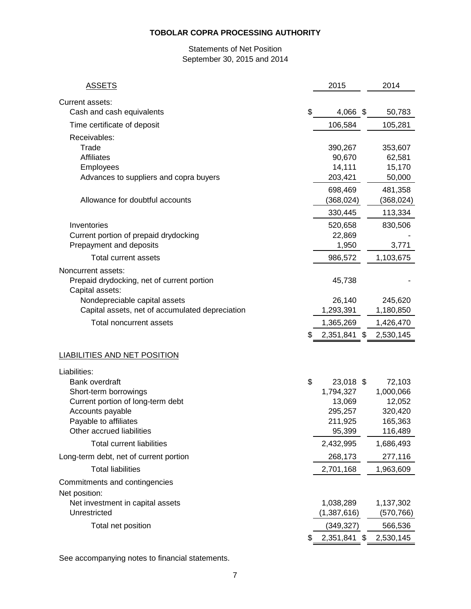# Statements of Net Position September 30, 2015 and 2014

| <b>ASSETS</b>                                    |    | 2015                | 2014                 |
|--------------------------------------------------|----|---------------------|----------------------|
| Current assets:                                  |    |                     |                      |
| Cash and cash equivalents                        | \$ | 4,066 \$            | 50,783               |
| Time certificate of deposit                      |    | 106,584             | 105,281              |
| Receivables:                                     |    |                     |                      |
| Trade                                            |    | 390,267             | 353,607              |
| <b>Affiliates</b>                                |    | 90,670              | 62,581               |
| Employees                                        |    | 14,111              | 15,170               |
| Advances to suppliers and copra buyers           |    | 203,421             | 50,000               |
|                                                  |    | 698,469             | 481,358              |
| Allowance for doubtful accounts                  |    | (368, 024)          | (368, 024)           |
|                                                  |    | 330,445             | 113,334              |
| Inventories                                      |    | 520,658             | 830,506              |
| Current portion of prepaid drydocking            |    | 22,869              |                      |
| Prepayment and deposits                          |    | 1,950               | 3,771                |
| <b>Total current assets</b>                      |    | 986,572             | 1,103,675            |
| Noncurrent assets:                               |    |                     |                      |
| Prepaid drydocking, net of current portion       |    | 45,738              |                      |
| Capital assets:<br>Nondepreciable capital assets |    |                     |                      |
| Capital assets, net of accumulated depreciation  |    | 26,140<br>1,293,391 | 245,620<br>1,180,850 |
| <b>Total noncurrent assets</b>                   |    | 1,365,269           |                      |
|                                                  |    |                     | 1,426,470            |
|                                                  | \$ | 2,351,841<br>\$     | 2,530,145            |
| <b>LIABILITIES AND NET POSITION</b>              |    |                     |                      |
| Liabilities:                                     |    |                     |                      |
| Bank overdraft                                   | \$ | 23,018 \$           | 72,103               |
| Short-term borrowings                            |    | 1,794,327           | 1,000,066            |
| Current portion of long-term debt                |    | 13,069              | 12,052               |
| Accounts payable                                 |    | 295,257             | 320,420              |
| Payable to affiliates                            |    | 211,925             | 165,363              |
| Other accrued liabilities                        |    | 95,399              | 116,489              |
| <b>Total current liabilities</b>                 |    | 2,432,995           | 1,686,493            |
| Long-term debt, net of current portion           |    | 268,173             | 277,116              |
| <b>Total liabilities</b>                         |    | 2,701,168           | 1,963,609            |
| Commitments and contingencies                    |    |                     |                      |
| Net position:                                    |    |                     |                      |
| Net investment in capital assets                 |    | 1,038,289           | 1,137,302            |
| Unrestricted                                     |    | (1,387,616)         | (570,766)            |
| Total net position                               |    | (349, 327)          | 566,536              |
|                                                  | S  | 2,351,841 \$        | 2,530,145            |

See accompanying notes to financial statements.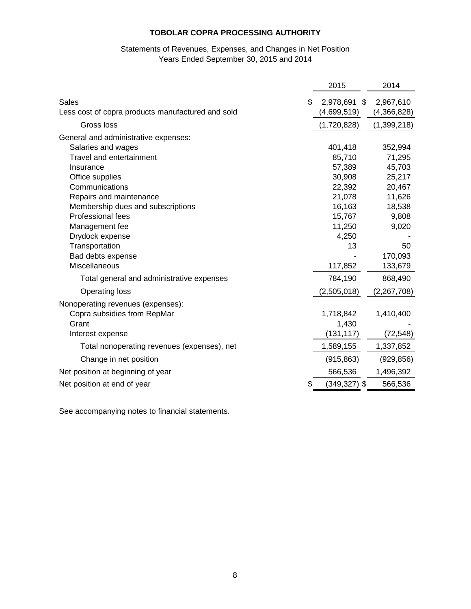# Statements of Revenues, Expenses, and Changes in Net Position Years Ended September 30, 2015 and 2014

|                                                   | 2015               | 2014          |
|---------------------------------------------------|--------------------|---------------|
| Sales                                             | \$<br>2,978,691 \$ | 2,967,610     |
| Less cost of copra products manufactured and sold | (4,699,519)        | (4,366,828)   |
| Gross loss                                        | (1,720,828)        | (1,399,218)   |
| General and administrative expenses:              |                    |               |
| Salaries and wages                                | 401,418            | 352,994       |
| Travel and entertainment                          | 85,710             | 71,295        |
| Insurance                                         | 57,389             | 45,703        |
| Office supplies                                   | 30,908             | 25,217        |
| Communications                                    | 22,392             | 20,467        |
| Repairs and maintenance                           | 21,078             | 11,626        |
| Membership dues and subscriptions                 | 16,163             | 18,538        |
| <b>Professional fees</b>                          | 15,767             | 9,808         |
| Management fee                                    | 11,250             | 9,020         |
| Drydock expense                                   | 4,250              |               |
| Transportation                                    | 13                 | 50            |
| Bad debts expense                                 |                    | 170,093       |
| Miscellaneous                                     | 117,852            | 133,679       |
| Total general and administrative expenses         | 784,190            | 868,490       |
| <b>Operating loss</b>                             | (2,505,018)        | (2, 267, 708) |
| Nonoperating revenues (expenses):                 |                    |               |
| Copra subsidies from RepMar                       | 1,718,842          | 1,410,400     |
| Grant                                             | 1,430              |               |
| Interest expense                                  | (131, 117)         | (72, 548)     |
| Total nonoperating revenues (expenses), net       | 1,589,155          | 1,337,852     |
| Change in net position                            | (915, 863)         | (929, 856)    |
| Net position at beginning of year                 | 566,536            | 1,496,392     |
| Net position at end of year                       | \$<br>(349,327) \$ | 566,536       |

See accompanying notes to financial statements.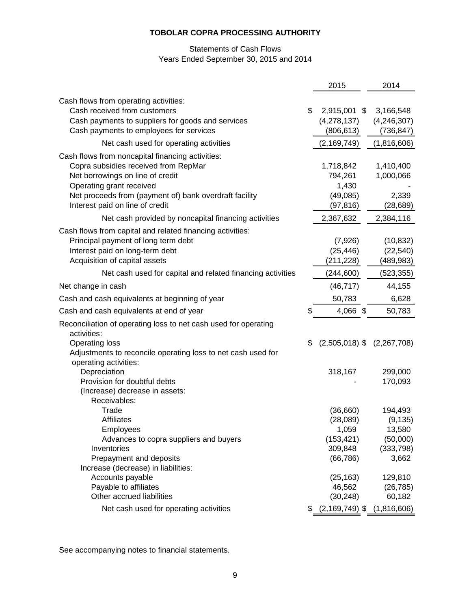# Statements of Cash Flows Years Ended September 30, 2015 and 2014

| Cash flows from operating activities:<br>Cash received from customers<br>\$<br>2,915,001 \$<br>3,166,548<br>Cash payments to suppliers for goods and services<br>(4,278,137)<br>(4, 246, 307)<br>Cash payments to employees for services<br>(806, 613)<br>(736, 847)<br>(1,816,606)<br>Net cash used for operating activities<br>(2, 169, 749)                  |
|-----------------------------------------------------------------------------------------------------------------------------------------------------------------------------------------------------------------------------------------------------------------------------------------------------------------------------------------------------------------|
|                                                                                                                                                                                                                                                                                                                                                                 |
|                                                                                                                                                                                                                                                                                                                                                                 |
|                                                                                                                                                                                                                                                                                                                                                                 |
| Cash flows from noncapital financing activities:<br>Copra subsidies received from RepMar<br>1,718,842<br>1,410,400<br>Net borrowings on line of credit<br>794,261<br>1,000,066<br>Operating grant received<br>1,430<br>Net proceeds from (payment of) bank overdraft facility<br>(49,085)<br>2,339<br>Interest paid on line of credit<br>(97, 816)<br>(28, 689) |
| Net cash provided by noncapital financing activities<br>2,367,632<br>2,384,116                                                                                                                                                                                                                                                                                  |
| Cash flows from capital and related financing activities:<br>Principal payment of long term debt<br>(7,926)<br>(10, 832)<br>Interest paid on long-term debt<br>(25, 446)<br>(22, 540)<br>Acquisition of capital assets<br>(211, 228)<br>(489, 983)                                                                                                              |
| Net cash used for capital and related financing activities<br>(244, 600)<br>(523, 355)                                                                                                                                                                                                                                                                          |
| (46, 717)<br>44,155<br>Net change in cash                                                                                                                                                                                                                                                                                                                       |
| Cash and cash equivalents at beginning of year<br>50,783<br>6,628                                                                                                                                                                                                                                                                                               |
| Cash and cash equivalents at end of year<br>4,066 \$<br>50,783<br>S                                                                                                                                                                                                                                                                                             |
| Reconciliation of operating loss to net cash used for operating<br>activities:<br><b>Operating loss</b><br>\$<br>$(2,505,018)$ \$<br>(2,267,708)<br>Adjustments to reconcile operating loss to net cash used for<br>operating activities:                                                                                                                       |
| Depreciation<br>318,167<br>299,000<br>Provision for doubtful debts<br>170,093                                                                                                                                                                                                                                                                                   |
| (Increase) decrease in assets:<br>Receivables:<br>Trade<br>(36,660)<br>194,493<br><b>Affiliates</b><br>(28,089)<br>(9, 135)                                                                                                                                                                                                                                     |
| Employees<br>1,059<br>13,580                                                                                                                                                                                                                                                                                                                                    |
| (153, 421)<br>(50,000)<br>Advances to copra suppliers and buyers                                                                                                                                                                                                                                                                                                |
| Inventories<br>309,848<br>(333, 798)                                                                                                                                                                                                                                                                                                                            |
| Prepayment and deposits<br>(66, 786)<br>3,662                                                                                                                                                                                                                                                                                                                   |
| Increase (decrease) in liabilities:<br>Accounts payable<br>129,810<br>(25, 163)<br>Payable to affiliates<br>46,562<br>(26, 785)<br>Other accrued liabilities<br>(30, 248)<br>60,182                                                                                                                                                                             |
| Net cash used for operating activities<br>$(2, 169, 749)$ \$<br>(1,816,606)<br>\$                                                                                                                                                                                                                                                                               |

See accompanying notes to financial statements.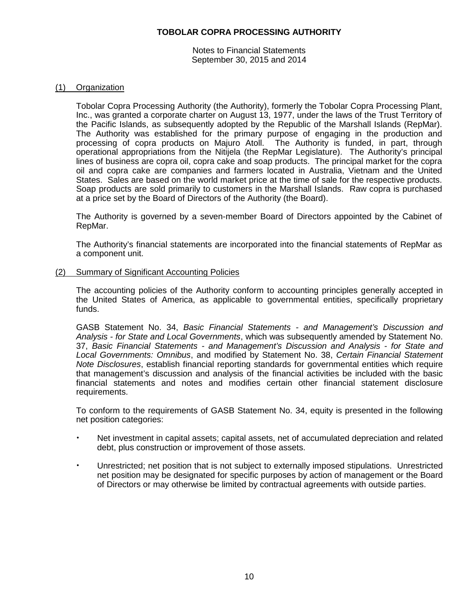Notes to Financial Statements September 30, 2015 and 2014

## (1) Organization

Tobolar Copra Processing Authority (the Authority), formerly the Tobolar Copra Processing Plant, Inc., was granted a corporate charter on August 13, 1977, under the laws of the Trust Territory of the Pacific Islands, as subsequently adopted by the Republic of the Marshall Islands (RepMar). The Authority was established for the primary purpose of engaging in the production and processing of copra products on Majuro Atoll. The Authority is funded, in part, through operational appropriations from the Nitijela (the RepMar Legislature). The Authority's principal lines of business are copra oil, copra cake and soap products. The principal market for the copra oil and copra cake are companies and farmers located in Australia, Vietnam and the United States. Sales are based on the world market price at the time of sale for the respective products. Soap products are sold primarily to customers in the Marshall Islands. Raw copra is purchased at a price set by the Board of Directors of the Authority (the Board).

The Authority is governed by a seven-member Board of Directors appointed by the Cabinet of RepMar.

The Authority's financial statements are incorporated into the financial statements of RepMar as a component unit.

(2) Summary of Significant Accounting Policies

The accounting policies of the Authority conform to accounting principles generally accepted in the United States of America, as applicable to governmental entities, specifically proprietary funds.

GASB Statement No. 34, *Basic Financial Statements - and Management's Discussion and Analysis - for State and Local Governments*, which was subsequently amended by Statement No. 37, *Basic Financial Statements - and Management's Discussion and Analysis - for State and Local Governments: Omnibus*, and modified by Statement No. 38, *Certain Financial Statement Note Disclosures*, establish financial reporting standards for governmental entities which require that management's discussion and analysis of the financial activities be included with the basic financial statements and notes and modifies certain other financial statement disclosure requirements.

To conform to the requirements of GASB Statement No. 34, equity is presented in the following net position categories:

- Net investment in capital assets; capital assets, net of accumulated depreciation and related debt, plus construction or improvement of those assets.
- Unrestricted; net position that is not subject to externally imposed stipulations. Unrestricted net position may be designated for specific purposes by action of management or the Board of Directors or may otherwise be limited by contractual agreements with outside parties.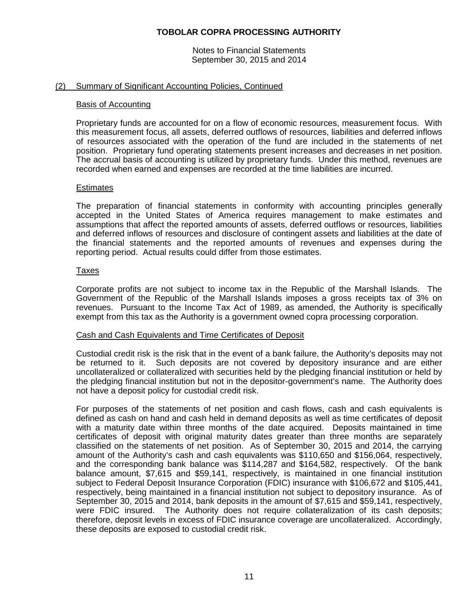Notes to Financial Statements September 30, 2015 and 2014

## (2) Summary of Significant Accounting Policies, Continued

### Basis of Accounting

Proprietary funds are accounted for on a flow of economic resources, measurement focus. With this measurement focus, all assets, deferred outflows of resources, liabilities and deferred inflows of resources associated with the operation of the fund are included in the statements of net position. Proprietary fund operating statements present increases and decreases in net position. The accrual basis of accounting is utilized by proprietary funds. Under this method, revenues are recorded when earned and expenses are recorded at the time liabilities are incurred.

### **Estimates**

The preparation of financial statements in conformity with accounting principles generally accepted in the United States of America requires management to make estimates and assumptions that affect the reported amounts of assets, deferred outflows or resources, liabilities and deferred inflows of resources and disclosure of contingent assets and liabilities at the date of the financial statements and the reported amounts of revenues and expenses during the reporting period. Actual results could differ from those estimates.

## Taxes

Corporate profits are not subject to income tax in the Republic of the Marshall Islands. The Government of the Republic of the Marshall Islands imposes a gross receipts tax of 3% on revenues. Pursuant to the Income Tax Act of 1989, as amended, the Authority is specifically exempt from this tax as the Authority is a government owned copra processing corporation.

### Cash and Cash Equivalents and Time Certificates of Deposit

Custodial credit risk is the risk that in the event of a bank failure, the Authority's deposits may not be returned to it. Such deposits are not covered by depository insurance and are either uncollateralized or collateralized with securities held by the pledging financial institution or held by the pledging financial institution but not in the depositor-government's name. The Authority does not have a deposit policy for custodial credit risk.

For purposes of the statements of net position and cash flows, cash and cash equivalents is defined as cash on hand and cash held in demand deposits as well as time certificates of deposit with a maturity date within three months of the date acquired. Deposits maintained in time certificates of deposit with original maturity dates greater than three months are separately classified on the statements of net position. As of September 30, 2015 and 2014, the carrying amount of the Authority's cash and cash equivalents was \$110,650 and \$156,064, respectively, and the corresponding bank balance was \$114,287 and \$164,582, respectively. Of the bank balance amount, \$7,615 and \$59,141, respectively, is maintained in one financial institution subject to Federal Deposit Insurance Corporation (FDIC) insurance with \$106,672 and \$105,441, respectively, being maintained in a financial institution not subject to depository insurance. As of September 30, 2015 and 2014, bank deposits in the amount of \$7,615 and \$59,141, respectively, were FDIC insured. The Authority does not require collateralization of its cash deposits; therefore, deposit levels in excess of FDIC insurance coverage are uncollateralized. Accordingly, these deposits are exposed to custodial credit risk.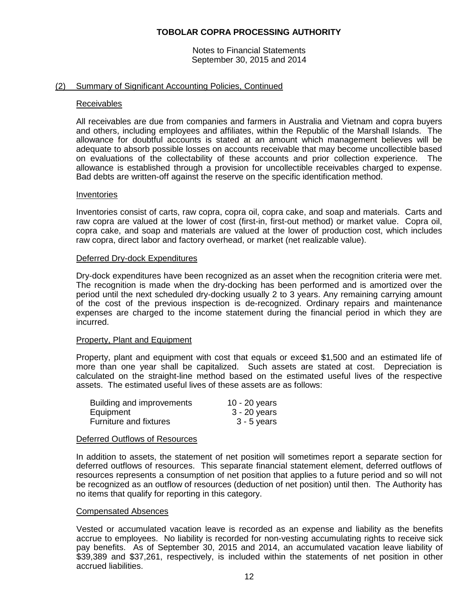Notes to Financial Statements September 30, 2015 and 2014

### (2) Summary of Significant Accounting Policies, Continued

### Receivables

All receivables are due from companies and farmers in Australia and Vietnam and copra buyers and others, including employees and affiliates, within the Republic of the Marshall Islands. The allowance for doubtful accounts is stated at an amount which management believes will be adequate to absorb possible losses on accounts receivable that may become uncollectible based on evaluations of the collectability of these accounts and prior collection experience. The allowance is established through a provision for uncollectible receivables charged to expense. Bad debts are written-off against the reserve on the specific identification method.

#### Inventories

Inventories consist of carts, raw copra, copra oil, copra cake, and soap and materials. Carts and raw copra are valued at the lower of cost (first-in, first-out method) or market value. Copra oil, copra cake, and soap and materials are valued at the lower of production cost, which includes raw copra, direct labor and factory overhead, or market (net realizable value).

#### Deferred Dry-dock Expenditures

Dry-dock expenditures have been recognized as an asset when the recognition criteria were met. The recognition is made when the dry-docking has been performed and is amortized over the period until the next scheduled dry-docking usually 2 to 3 years. Any remaining carrying amount of the cost of the previous inspection is de-recognized. Ordinary repairs and maintenance expenses are charged to the income statement during the financial period in which they are incurred.

## Property, Plant and Equipment

Property, plant and equipment with cost that equals or exceed \$1,500 and an estimated life of more than one year shall be capitalized. Such assets are stated at cost. Depreciation is calculated on the straight-line method based on the estimated useful lives of the respective assets. The estimated useful lives of these assets are as follows:

| Building and improvements | 10 - 20 years |
|---------------------------|---------------|
| Equipment                 | 3 - 20 years  |
| Furniture and fixtures    | $3 - 5$ years |

### Deferred Outflows of Resources

In addition to assets, the statement of net position will sometimes report a separate section for deferred outflows of resources. This separate financial statement element, deferred outflows of resources represents a consumption of net position that applies to a future period and so will not be recognized as an outflow of resources (deduction of net position) until then. The Authority has no items that qualify for reporting in this category.

#### Compensated Absences

Vested or accumulated vacation leave is recorded as an expense and liability as the benefits accrue to employees. No liability is recorded for non-vesting accumulating rights to receive sick pay benefits. As of September 30, 2015 and 2014, an accumulated vacation leave liability of \$39,389 and \$37,261, respectively, is included within the statements of net position in other accrued liabilities.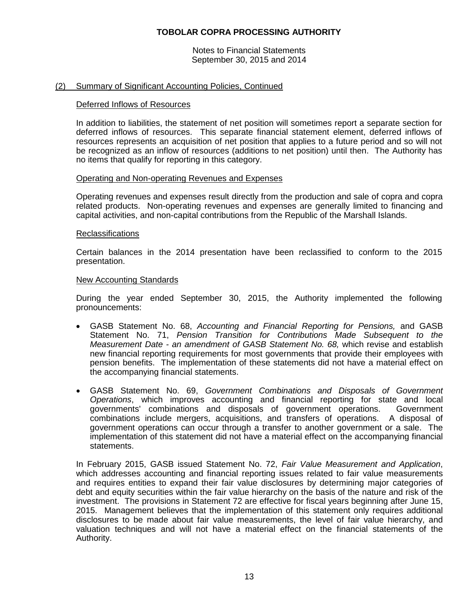Notes to Financial Statements September 30, 2015 and 2014

## (2) Summary of Significant Accounting Policies, Continued

### Deferred Inflows of Resources

In addition to liabilities, the statement of net position will sometimes report a separate section for deferred inflows of resources. This separate financial statement element, deferred inflows of resources represents an acquisition of net position that applies to a future period and so will not be recognized as an inflow of resources (additions to net position) until then. The Authority has no items that qualify for reporting in this category.

### Operating and Non-operating Revenues and Expenses

Operating revenues and expenses result directly from the production and sale of copra and copra related products. Non-operating revenues and expenses are generally limited to financing and capital activities, and non-capital contributions from the Republic of the Marshall Islands.

#### Reclassifications

Certain balances in the 2014 presentation have been reclassified to conform to the 2015 presentation.

#### New Accounting Standards

During the year ended September 30, 2015, the Authority implemented the following pronouncements:

- GASB Statement No. 68, *Accounting and Financial Reporting for Pensions,* and GASB Statement No. 71, *Pension Transition for Contributions Made Subsequent to the Measurement Date - an amendment of GASB Statement No. 68,* which revise and establish new financial reporting requirements for most governments that provide their employees with pension benefits. The implementation of these statements did not have a material effect on the accompanying financial statements.
- GASB Statement No. 69, *Government Combinations and Disposals of Government Operations*, which improves accounting and financial reporting for state and local governments' combinations and disposals of government operations. Government combinations include mergers, acquisitions, and transfers of operations. A disposal of government operations can occur through a transfer to another government or a sale. The implementation of this statement did not have a material effect on the accompanying financial statements.

In February 2015, GASB issued Statement No. 72, *Fair Value Measurement and Application*, which addresses accounting and financial reporting issues related to fair value measurements and requires entities to expand their fair value disclosures by determining major categories of debt and equity securities within the fair value hierarchy on the basis of the nature and risk of the investment. The provisions in Statement 72 are effective for fiscal years beginning after June 15, 2015. Management believes that the implementation of this statement only requires additional disclosures to be made about fair value measurements, the level of fair value hierarchy, and valuation techniques and will not have a material effect on the financial statements of the Authority.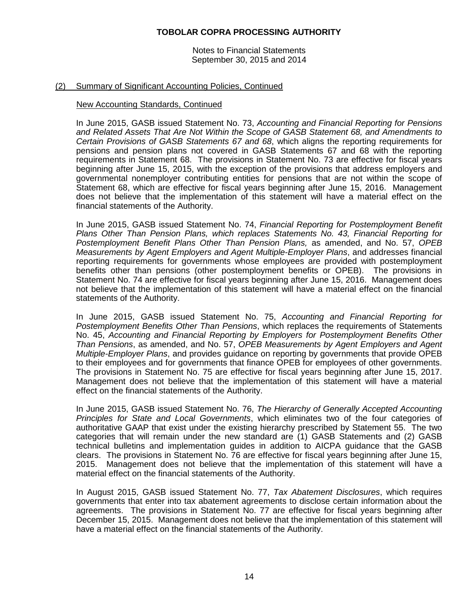Notes to Financial Statements September 30, 2015 and 2014

## (2) Summary of Significant Accounting Policies, Continued

### New Accounting Standards, Continued

In June 2015, GASB issued Statement No. 73, *Accounting and Financial Reporting for Pensions and Related Assets That Are Not Within the Scope of GASB Statement 68, and Amendments to Certain Provisions of GASB Statements 67 and 68*, which aligns the reporting requirements for pensions and pension plans not covered in GASB Statements 67 and 68 with the reporting requirements in Statement 68. The provisions in Statement No. 73 are effective for fiscal years beginning after June 15, 2015, with the exception of the provisions that address employers and governmental nonemployer contributing entities for pensions that are not within the scope of Statement 68, which are effective for fiscal years beginning after June 15, 2016. Management does not believe that the implementation of this statement will have a material effect on the financial statements of the Authority.

In June 2015, GASB issued Statement No. 74, *Financial Reporting for Postemployment Benefit Plans Other Than Pension Plans, which replaces Statements No. 43, Financial Reporting for Postemployment Benefit Plans Other Than Pension Plans,* as amended, and No. 57, *OPEB Measurements by Agent Employers and Agent Multiple-Employer Plans*, and addresses financial reporting requirements for governments whose employees are provided with postemployment benefits other than pensions (other postemployment benefits or OPEB). The provisions in Statement No. 74 are effective for fiscal years beginning after June 15, 2016. Management does not believe that the implementation of this statement will have a material effect on the financial statements of the Authority.

In June 2015, GASB issued Statement No. 75, *Accounting and Financial Reporting for Postemployment Benefits Other Than Pensions*, which replaces the requirements of Statements No. 45, *Accounting and Financial Reporting by Employers for Postemployment Benefits Other Than Pensions*, as amended, and No. 57, *OPEB Measurements by Agent Employers and Agent Multiple-Employer Plans*, and provides guidance on reporting by governments that provide OPEB to their employees and for governments that finance OPEB for employees of other governments. The provisions in Statement No. 75 are effective for fiscal years beginning after June 15, 2017. Management does not believe that the implementation of this statement will have a material effect on the financial statements of the Authority.

In June 2015, GASB issued Statement No. 76, *The Hierarchy of Generally Accepted Accounting Principles for State and Local Governments*, which eliminates two of the four categories of authoritative GAAP that exist under the existing hierarchy prescribed by Statement 55. The two categories that will remain under the new standard are (1) GASB Statements and (2) GASB technical bulletins and implementation guides in addition to AICPA guidance that the GASB clears. The provisions in Statement No. 76 are effective for fiscal years beginning after June 15, 2015. Management does not believe that the implementation of this statement will have a material effect on the financial statements of the Authority.

In August 2015, GASB issued Statement No. 77, *Tax Abatement Disclosures*, which requires governments that enter into tax abatement agreements to disclose certain information about the agreements. The provisions in Statement No. 77 are effective for fiscal years beginning after December 15, 2015. Management does not believe that the implementation of this statement will have a material effect on the financial statements of the Authority.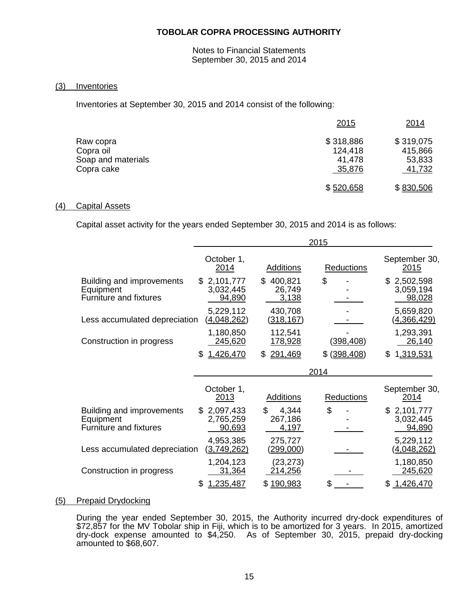Notes to Financial Statements September 30, 2015 and 2014

### (3) Inventories

Inventories at September 30, 2015 and 2014 consist of the following:

|                    | 2015      | 2014      |
|--------------------|-----------|-----------|
| Raw copra          | \$318,886 | \$319,075 |
| Copra oil          | 124,418   | 415,866   |
| Soap and materials | 41,478    | 53,833    |
| Copra cake         | 35,876    | 41,732    |
|                    | \$520,658 | \$830,506 |

### (4) Capital Assets

Capital asset activity for the years ended September 30, 2015 and 2014 is as follows:

|                                                                         | 2015                                    |                                  |                   |                                        |  |  |  |
|-------------------------------------------------------------------------|-----------------------------------------|----------------------------------|-------------------|----------------------------------------|--|--|--|
|                                                                         | October 1,<br>2014                      | <b>Additions</b>                 | Reductions        | September 30,<br>2015                  |  |  |  |
| Building and improvements<br>Equipment<br><b>Furniture and fixtures</b> | \$2,101,777<br>3,032,445<br>94,890      | 400,821<br>\$<br>26,749<br>3,138 | \$                | \$2,502,598<br>3,059,194<br>98,028     |  |  |  |
| Less accumulated depreciation                                           | 5,229,112<br>(4,048,262)                | 430,708<br><u>(318,167)</u>      |                   | 5,659,820<br>(4,366,429)               |  |  |  |
| Construction in progress                                                | 1,180,850<br>245,620                    | 112,541<br>178,928               | <u>(398,408)</u>  | 1,293,391<br>26,140                    |  |  |  |
|                                                                         | 1,426,470<br>\$.                        | 291,469<br>\$                    | (398, 408)<br>S   | 1,319,531<br>\$                        |  |  |  |
|                                                                         |                                         |                                  |                   |                                        |  |  |  |
|                                                                         |                                         |                                  | 2014              |                                        |  |  |  |
|                                                                         | October 1,<br>2013                      | <b>Additions</b>                 | <b>Reductions</b> | September 30,<br>2014                  |  |  |  |
| Building and improvements<br>Equipment<br><b>Furniture and fixtures</b> | 2,097,433<br>\$.<br>2,765,259<br>90,693 | \$<br>4,344<br>267,186<br>4,197  | \$                | 2,101,777<br>\$<br>3,032,445<br>94,890 |  |  |  |
| Less accumulated depreciation                                           | 4,953,385<br>(3,749,262)                | 275,727<br><u>(299,000)</u>      |                   | 5,229,112<br>(4,048,262)               |  |  |  |
| Construction in progress                                                | 1,204,123<br>31,364                     | (23, 273)<br>214,256             |                   | 1,180,850<br>245,620                   |  |  |  |

# (5) Prepaid Drydocking

During the year ended September 30, 2015, the Authority incurred dry-dock expenditures of \$72,857 for the MV Tobolar ship in Fiji, which is to be amortized for 3 years. In 2015, amortized dry-dock expense amounted to \$4,250. As of September 30, 2015, prepaid dry-docking amounted to \$68,607.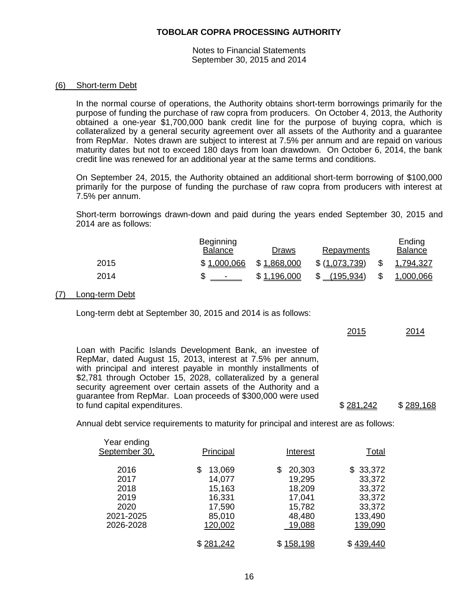Notes to Financial Statements September 30, 2015 and 2014

### (6) Short-term Debt

In the normal course of operations, the Authority obtains short-term borrowings primarily for the purpose of funding the purchase of raw copra from producers. On October 4, 2013, the Authority obtained a one-year \$1,700,000 bank credit line for the purpose of buying copra, which is collateralized by a general security agreement over all assets of the Authority and a guarantee from RepMar. Notes drawn are subject to interest at 7.5% per annum and are repaid on various maturity dates but not to exceed 180 days from loan drawdown. On October 6, 2014, the bank credit line was renewed for an additional year at the same terms and conditions.

On September 24, 2015, the Authority obtained an additional short-term borrowing of \$100,000 primarily for the purpose of funding the purchase of raw copra from producers with interest at 7.5% per annum.

Short-term borrowings drawn-down and paid during the years ended September 30, 2015 and 2014 are as follows:

|      | <b>Beginning</b><br><b>Balance</b> | Draws       | Repayments     | Ending<br><b>Balance</b> |
|------|------------------------------------|-------------|----------------|--------------------------|
| 2015 | \$1,000,066                        | \$1,868,000 | \$ (1,073,739) | <u>1,794,327</u>         |
| 2014 | <b>Contract Contract</b>           | \$1,196,000 | \$(195, 934)   | 1,000,066                |

### (7) Long-term Debt

Long-term debt at September 30, 2015 and 2014 is as follows:

|                                                                                                                                                                                                                                                                                                                                                                                                                              | 2015      | 2014      |
|------------------------------------------------------------------------------------------------------------------------------------------------------------------------------------------------------------------------------------------------------------------------------------------------------------------------------------------------------------------------------------------------------------------------------|-----------|-----------|
| Loan with Pacific Islands Development Bank, an investee of<br>RepMar, dated August 15, 2013, interest at 7.5% per annum,<br>with principal and interest payable in monthly installments of<br>\$2,781 through October 15, 2028, collateralized by a general<br>security agreement over certain assets of the Authority and a<br>guarantee from RepMar. Loan proceeds of \$300,000 were used<br>to fund capital expenditures. | \$281,242 | \$289,168 |

Annual debt service requirements to maturity for principal and interest are as follows:

| Year ending<br>September 30, | Principal    | Interest    | <b>Total</b> |
|------------------------------|--------------|-------------|--------------|
| 2016                         | 13,069<br>\$ | 20,303<br>S | \$33,372     |
| 2017                         | 14,077       | 19,295      | 33,372       |
| 2018                         | 15,163       | 18,209      | 33,372       |
| 2019                         | 16,331       | 17,041      | 33,372       |
| 2020                         | 17,590       | 15,782      | 33,372       |
| 2021-2025                    | 85,010       | 48,480      | 133,490      |
| 2026-2028                    | 120,002      | 19,088      | 139,090      |
|                              | \$281,242    | \$158,198   | \$ 439,440   |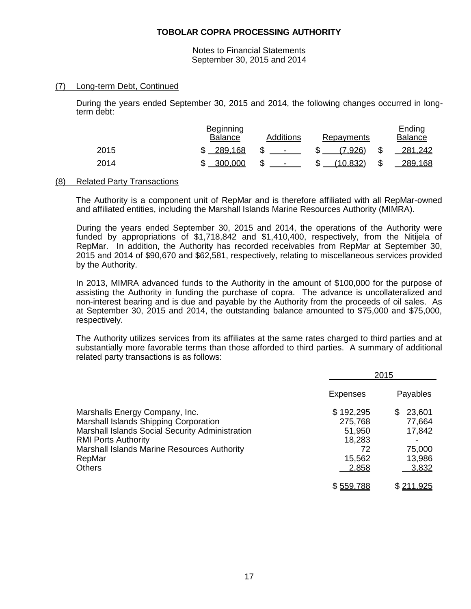Notes to Financial Statements September 30, 2015 and 2014

### (7) Long-term Debt, Continued

During the years ended September 30, 2015 and 2014, the following changes occurred in longterm debt:

|      | <b>Beginning</b><br><b>Balance</b> | Additions | Repayments | Ending<br><b>Balance</b> |
|------|------------------------------------|-----------|------------|--------------------------|
| 2015 | 289,168                            | $s -$     | (7,926)    | <u>281,242</u>           |
| 2014 | 300,000                            | $s -$     | (10, 832)  | 289,168                  |

### (8) Related Party Transactions

The Authority is a component unit of RepMar and is therefore affiliated with all RepMar-owned and affiliated entities, including the Marshall Islands Marine Resources Authority (MIMRA).

During the years ended September 30, 2015 and 2014, the operations of the Authority were funded by appropriations of \$1,718,842 and \$1,410,400, respectively, from the Nitijela of RepMar. In addition, the Authority has recorded receivables from RepMar at September 30, 2015 and 2014 of \$90,670 and \$62,581, respectively, relating to miscellaneous services provided by the Authority.

In 2013, MIMRA advanced funds to the Authority in the amount of \$100,000 for the purpose of assisting the Authority in funding the purchase of copra. The advance is uncollateralized and non-interest bearing and is due and payable by the Authority from the proceeds of oil sales. As at September 30, 2015 and 2014, the outstanding balance amounted to \$75,000 and \$75,000, respectively.

The Authority utilizes services from its affiliates at the same rates charged to third parties and at substantially more favorable terms than those afforded to third parties. A summary of additional related party transactions is as follows:

|                                                                                                                                                                                                                                    |                                                                   | 2015                                                         |  |
|------------------------------------------------------------------------------------------------------------------------------------------------------------------------------------------------------------------------------------|-------------------------------------------------------------------|--------------------------------------------------------------|--|
|                                                                                                                                                                                                                                    | <b>Expenses</b>                                                   | Payables                                                     |  |
| Marshalls Energy Company, Inc.<br>Marshall Islands Shipping Corporation<br>Marshall Islands Social Security Administration<br><b>RMI Ports Authority</b><br>Marshall Islands Marine Resources Authority<br>RepMar<br><b>Others</b> | \$192,295<br>275,768<br>51,950<br>18,283<br>72<br>15,562<br>2,858 | 23,601<br>S<br>77,664<br>17,842<br>75,000<br>13,986<br>3,832 |  |
|                                                                                                                                                                                                                                    | \$559,788                                                         | <u> 211,925</u>                                              |  |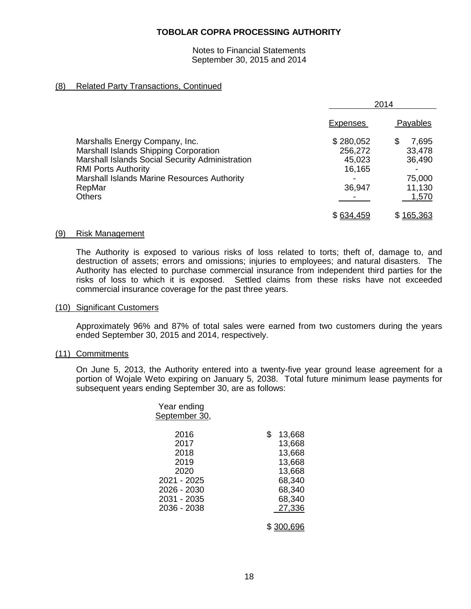Notes to Financial Statements September 30, 2015 and 2014

## (8) Related Party Transactions, Continued

|                                                                                                                                                                                                                                    | 2014                                               |                                                             |
|------------------------------------------------------------------------------------------------------------------------------------------------------------------------------------------------------------------------------------|----------------------------------------------------|-------------------------------------------------------------|
|                                                                                                                                                                                                                                    | <b>Expenses</b>                                    | Payables                                                    |
| Marshalls Energy Company, Inc.<br>Marshall Islands Shipping Corporation<br>Marshall Islands Social Security Administration<br><b>RMI Ports Authority</b><br>Marshall Islands Marine Resources Authority<br>RepMar<br><b>Others</b> | \$280,052<br>256,272<br>45,023<br>16,165<br>36,947 | S<br>7,695<br>33,478<br>36,490<br>75,000<br>11,130<br>1,570 |
|                                                                                                                                                                                                                                    | \$634,459                                          | \$165,363                                                   |

### (9) Risk Management

The Authority is exposed to various risks of loss related to torts; theft of, damage to, and destruction of assets; errors and omissions; injuries to employees; and natural disasters. The Authority has elected to purchase commercial insurance from independent third parties for the risks of loss to which it is exposed. Settled claims from these risks have not exceeded commercial insurance coverage for the past three years.

### (10) Significant Customers

Approximately 96% and 87% of total sales were earned from two customers during the years ended September 30, 2015 and 2014, respectively.

### (11) Commitments

On June 5, 2013, the Authority entered into a twenty-five year ground lease agreement for a portion of Wojale Weto expiring on January 5, 2038. Total future minimum lease payments for subsequent years ending September 30, are as follows:

| Year ending<br>September 30, |              |
|------------------------------|--------------|
| 2016                         | \$<br>13,668 |
| 2017                         | 13,668       |
| 2018                         | 13,668       |
| 2019                         | 13,668       |
| 2020                         | 13,668       |
| 2021 - 2025                  | 68,340       |
| 2026 - 2030                  | 68,340       |
| 2031 - 2035                  | 68,340       |
| 2036 - 2038                  | 27,336       |
|                              |              |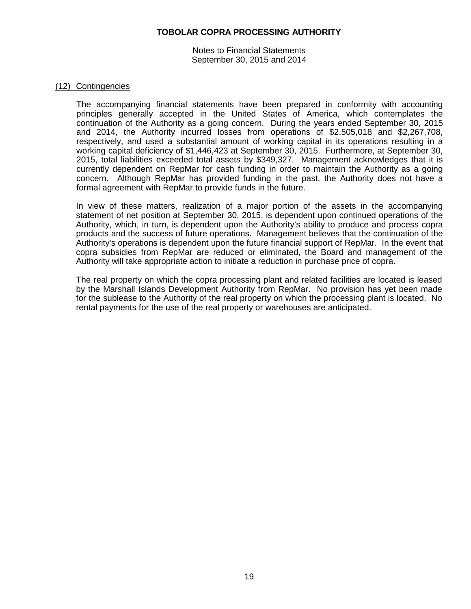Notes to Financial Statements September 30, 2015 and 2014

### (12) Contingencies

The accompanying financial statements have been prepared in conformity with accounting principles generally accepted in the United States of America, which contemplates the continuation of the Authority as a going concern. During the years ended September 30, 2015 and 2014, the Authority incurred losses from operations of \$2,505,018 and \$2,267,708, respectively, and used a substantial amount of working capital in its operations resulting in a working capital deficiency of \$1,446,423 at September 30, 2015. Furthermore, at September 30, 2015, total liabilities exceeded total assets by \$349,327. Management acknowledges that it is currently dependent on RepMar for cash funding in order to maintain the Authority as a going concern. Although RepMar has provided funding in the past, the Authority does not have a formal agreement with RepMar to provide funds in the future.

In view of these matters, realization of a major portion of the assets in the accompanying statement of net position at September 30, 2015, is dependent upon continued operations of the Authority, which, in turn, is dependent upon the Authority's ability to produce and process copra products and the success of future operations. Management believes that the continuation of the Authority's operations is dependent upon the future financial support of RepMar. In the event that copra subsidies from RepMar are reduced or eliminated, the Board and management of the Authority will take appropriate action to initiate a reduction in purchase price of copra.

The real property on which the copra processing plant and related facilities are located is leased by the Marshall Islands Development Authority from RepMar. No provision has yet been made for the sublease to the Authority of the real property on which the processing plant is located. No rental payments for the use of the real property or warehouses are anticipated.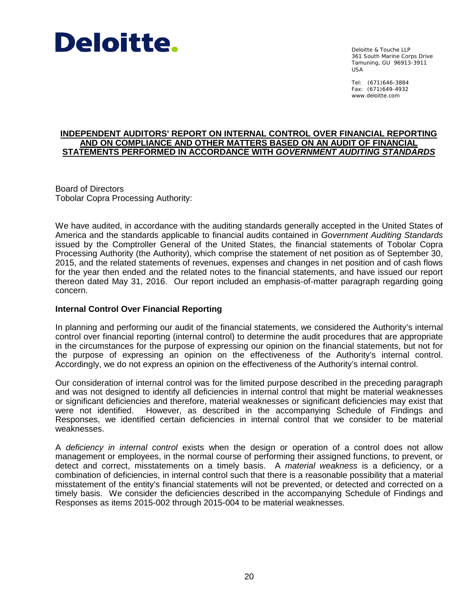

Deloitte & Touche LLP 361 South Marine Corps Drive Tamuning, GU 96913-3911 USA

Tel: (671)646-3884 Fax: (671)649-4932 www.deloitte.com

### **INDEPENDENT AUDITORS' REPORT ON INTERNAL CONTROL OVER FINANCIAL REPORTING AND ON COMPLIANCE AND OTHER MATTERS BASED ON AN AUDIT OF FINANCIAL STATEMENTS PERFORMED IN ACCORDANCE WITH** *GOVERNMENT AUDITING STANDARDS*

Board of Directors Tobolar Copra Processing Authority:

We have audited, in accordance with the auditing standards generally accepted in the United States of America and the standards applicable to financial audits contained in *Government Auditing Standards* issued by the Comptroller General of the United States, the financial statements of Tobolar Copra Processing Authority (the Authority), which comprise the statement of net position as of September 30, 2015, and the related statements of revenues, expenses and changes in net position and of cash flows for the year then ended and the related notes to the financial statements, and have issued our report thereon dated May 31, 2016. Our report included an emphasis-of-matter paragraph regarding going concern.

## **Internal Control Over Financial Reporting**

In planning and performing our audit of the financial statements, we considered the Authority's internal control over financial reporting (internal control) to determine the audit procedures that are appropriate in the circumstances for the purpose of expressing our opinion on the financial statements, but not for the purpose of expressing an opinion on the effectiveness of the Authority's internal control. Accordingly, we do not express an opinion on the effectiveness of the Authority's internal control.

Our consideration of internal control was for the limited purpose described in the preceding paragraph and was not designed to identify all deficiencies in internal control that might be material weaknesses or significant deficiencies and therefore, material weaknesses or significant deficiencies may exist that were<br>were not identified. However, as described in the accompanying Schedule of Findings and However, as described in the accompanying Schedule of Findings and Responses, we identified certain deficiencies in internal control that we consider to be material weaknesses.

A *deficiency in internal control* exists when the design or operation of a control does not allow management or employees, in the normal course of performing their assigned functions, to prevent, or detect and correct, misstatements on a timely basis. A *material weakness* is a deficiency, or a combination of deficiencies, in internal control such that there is a reasonable possibility that a material misstatement of the entity's financial statements will not be prevented, or detected and corrected on a timely basis. We consider the deficiencies described in the accompanying Schedule of Findings and Responses as items 2015-002 through 2015-004 to be material weaknesses.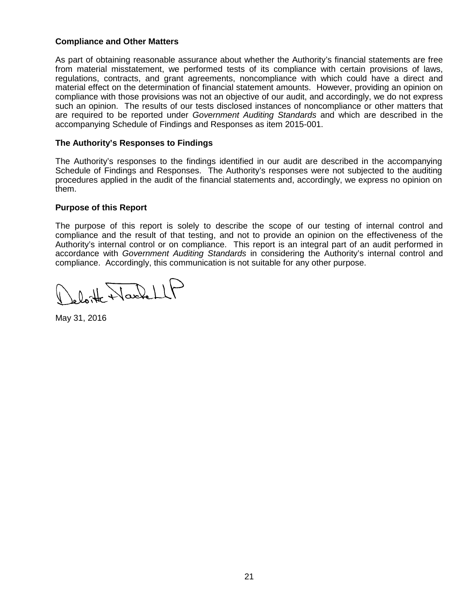# **Compliance and Other Matters**

As part of obtaining reasonable assurance about whether the Authority's financial statements are free from material misstatement, we performed tests of its compliance with certain provisions of laws, regulations, contracts, and grant agreements, noncompliance with which could have a direct and material effect on the determination of financial statement amounts. However, providing an opinion on compliance with those provisions was not an objective of our audit, and accordingly, we do not express such an opinion. The results of our tests disclosed instances of noncompliance or other matters that are required to be reported under *Government Auditing Standards* and which are described in the accompanying Schedule of Findings and Responses as item 2015-001.

# **The Authority's Responses to Findings**

The Authority's responses to the findings identified in our audit are described in the accompanying Schedule of Findings and Responses. The Authority's responses were not subjected to the auditing procedures applied in the audit of the financial statements and, accordingly, we express no opinion on them.

# **Purpose of this Report**

The purpose of this report is solely to describe the scope of our testing of internal control and compliance and the result of that testing, and not to provide an opinion on the effectiveness of the Authority's internal control or on compliance. This report is an integral part of an audit performed in accordance with *Government Auditing Standards* in considering the Authority's internal control and compliance. Accordingly, this communication is not suitable for any other purpose.

 $0$  if Harlell

May 31, 2016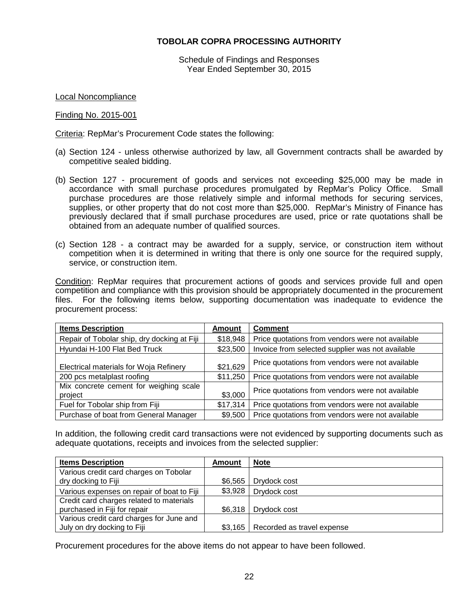Schedule of Findings and Responses Year Ended September 30, 2015

Local Noncompliance

Finding No. 2015-001

Criteria: RepMar's Procurement Code states the following:

- (a) Section 124 unless otherwise authorized by law, all Government contracts shall be awarded by competitive sealed bidding.
- (b) Section 127 procurement of goods and services not exceeding \$25,000 may be made in accordance with small purchase procedures promulgated by RepMar's Policy Office. Small purchase procedures are those relatively simple and informal methods for securing services, supplies, or other property that do not cost more than \$25,000. RepMar's Ministry of Finance has previously declared that if small purchase procedures are used, price or rate quotations shall be obtained from an adequate number of qualified sources.
- (c) Section 128 a contract may be awarded for a supply, service, or construction item without competition when it is determined in writing that there is only one source for the required supply, service, or construction item.

Condition: RepMar requires that procurement actions of goods and services provide full and open competition and compliance with this provision should be appropriately documented in the procurement files. For the following items below, supporting documentation was inadequate to evidence the procurement process:

| <b>Items Description</b>                          | Amount   | <b>Comment</b>                                   |
|---------------------------------------------------|----------|--------------------------------------------------|
| Repair of Tobolar ship, dry docking at Fiji       | \$18,948 | Price quotations from vendors were not available |
| Hyundai H-100 Flat Bed Truck                      | \$23,500 | Invoice from selected supplier was not available |
| Electrical materials for Woja Refinery            | \$21,629 | Price quotations from vendors were not available |
| 200 pcs metalplast roofing                        | \$11,250 | Price quotations from vendors were not available |
| Mix concrete cement for weighing scale<br>project | \$3,000  | Price quotations from vendors were not available |
| Fuel for Tobolar ship from Fiji                   | \$17,314 | Price quotations from vendors were not available |
| Purchase of boat from General Manager             | \$9,500  | Price quotations from vendors were not available |

In addition, the following credit card transactions were not evidenced by supporting documents such as adequate quotations, receipts and invoices from the selected supplier:

| <b>Items Description</b>                   | Amount  | <b>Note</b>                          |
|--------------------------------------------|---------|--------------------------------------|
| Various credit card charges on Tobolar     |         |                                      |
| dry docking to Fiji                        | \$6.565 | Drydock cost                         |
| Various expenses on repair of boat to Fiji | \$3,928 | Drydock cost                         |
| Credit card charges related to materials   |         |                                      |
| purchased in Fiji for repair               | \$6,318 | Drydock cost                         |
| Various credit card charges for June and   |         |                                      |
| July on dry docking to Fiji                |         | \$3,165   Recorded as travel expense |

Procurement procedures for the above items do not appear to have been followed.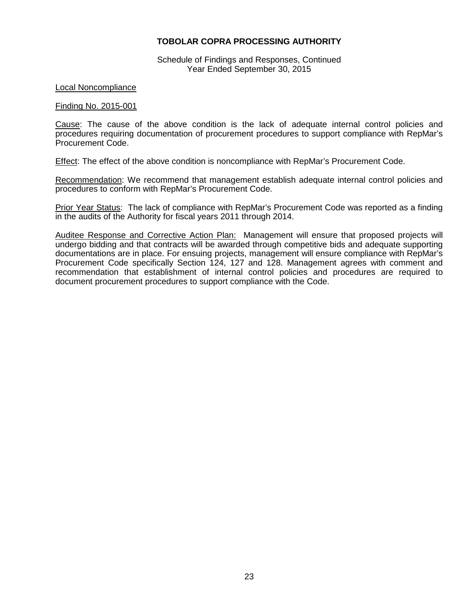Schedule of Findings and Responses, Continued Year Ended September 30, 2015

### Local Noncompliance

### Finding No. 2015-001

Cause: The cause of the above condition is the lack of adequate internal control policies and procedures requiring documentation of procurement procedures to support compliance with RepMar's Procurement Code.

Effect: The effect of the above condition is noncompliance with RepMar's Procurement Code.

Recommendation: We recommend that management establish adequate internal control policies and procedures to conform with RepMar's Procurement Code.

Prior Year Status: The lack of compliance with RepMar's Procurement Code was reported as a finding in the audits of the Authority for fiscal years 2011 through 2014.

Auditee Response and Corrective Action Plan: Management will ensure that proposed projects will undergo bidding and that contracts will be awarded through competitive bids and adequate supporting documentations are in place. For ensuing projects, management will ensure compliance with RepMar's Procurement Code specifically Section 124, 127 and 128. Management agrees with comment and recommendation that establishment of internal control policies and procedures are required to document procurement procedures to support compliance with the Code.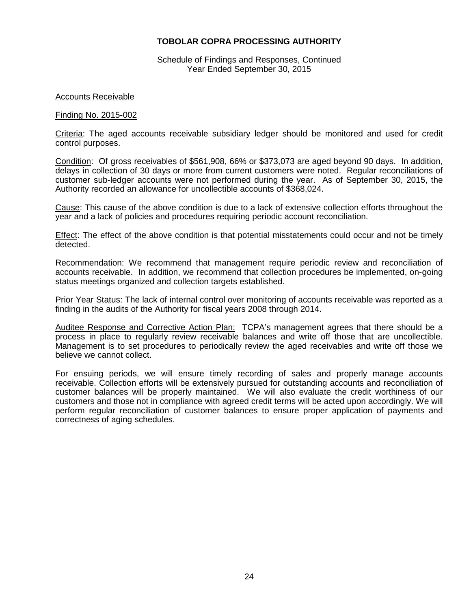Schedule of Findings and Responses, Continued Year Ended September 30, 2015

## Accounts Receivable

### Finding No. 2015-002

Criteria: The aged accounts receivable subsidiary ledger should be monitored and used for credit control purposes.

Condition: Of gross receivables of \$561,908, 66% or \$373,073 are aged beyond 90 days. In addition, delays in collection of 30 days or more from current customers were noted. Regular reconciliations of customer sub-ledger accounts were not performed during the year. As of September 30, 2015, the Authority recorded an allowance for uncollectible accounts of \$368,024.

Cause: This cause of the above condition is due to a lack of extensive collection efforts throughout the year and a lack of policies and procedures requiring periodic account reconciliation.

Effect: The effect of the above condition is that potential misstatements could occur and not be timely detected.

Recommendation: We recommend that management require periodic review and reconciliation of accounts receivable. In addition, we recommend that collection procedures be implemented, on-going status meetings organized and collection targets established.

Prior Year Status: The lack of internal control over monitoring of accounts receivable was reported as a finding in the audits of the Authority for fiscal years 2008 through 2014.

Auditee Response and Corrective Action Plan: TCPA's management agrees that there should be a process in place to regularly review receivable balances and write off those that are uncollectible. Management is to set procedures to periodically review the aged receivables and write off those we believe we cannot collect.

For ensuing periods, we will ensure timely recording of sales and properly manage accounts receivable. Collection efforts will be extensively pursued for outstanding accounts and reconciliation of customer balances will be properly maintained. We will also evaluate the credit worthiness of our customers and those not in compliance with agreed credit terms will be acted upon accordingly. We will perform regular reconciliation of customer balances to ensure proper application of payments and correctness of aging schedules.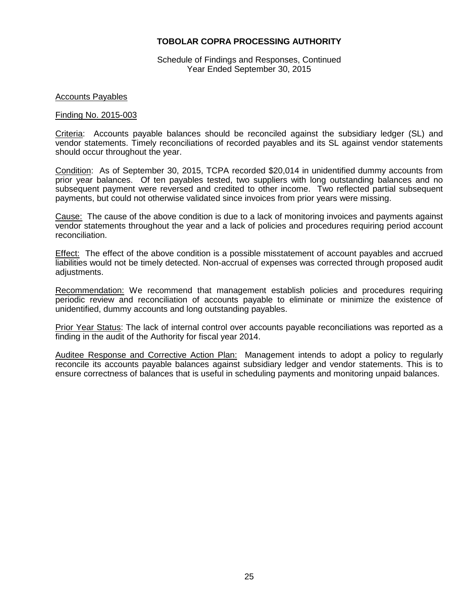Schedule of Findings and Responses, Continued Year Ended September 30, 2015

## Accounts Payables

### Finding No. 2015-003

Criteria: Accounts payable balances should be reconciled against the subsidiary ledger (SL) and vendor statements. Timely reconciliations of recorded payables and its SL against vendor statements should occur throughout the year.

Condition: As of September 30, 2015, TCPA recorded \$20,014 in unidentified dummy accounts from prior year balances. Of ten payables tested, two suppliers with long outstanding balances and no subsequent payment were reversed and credited to other income. Two reflected partial subsequent payments, but could not otherwise validated since invoices from prior years were missing.

Cause: The cause of the above condition is due to a lack of monitoring invoices and payments against vendor statements throughout the year and a lack of policies and procedures requiring period account reconciliation.

Effect: The effect of the above condition is a possible misstatement of account payables and accrued liabilities would not be timely detected. Non-accrual of expenses was corrected through proposed audit adiustments.

Recommendation: We recommend that management establish policies and procedures requiring periodic review and reconciliation of accounts payable to eliminate or minimize the existence of unidentified, dummy accounts and long outstanding payables.

Prior Year Status: The lack of internal control over accounts payable reconciliations was reported as a finding in the audit of the Authority for fiscal year 2014.

Auditee Response and Corrective Action Plan: Management intends to adopt a policy to regularly reconcile its accounts payable balances against subsidiary ledger and vendor statements. This is to ensure correctness of balances that is useful in scheduling payments and monitoring unpaid balances.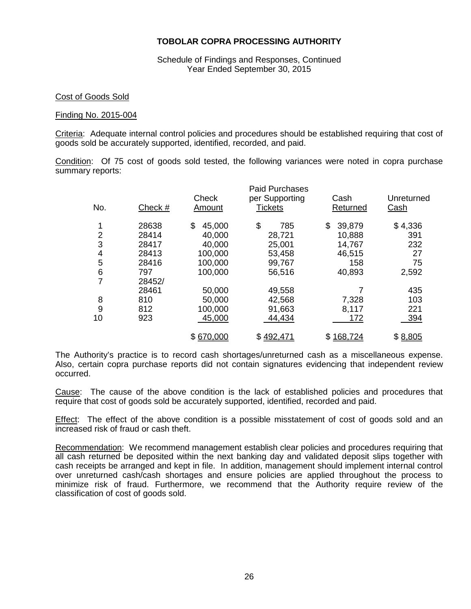Schedule of Findings and Responses, Continued Year Ended September 30, 2015

## Cost of Goods Sold

### Finding No. 2015-004

Criteria: Adequate internal control policies and procedures should be established requiring that cost of goods sold be accurately supported, identified, recorded, and paid.

Condition: Of 75 cost of goods sold tested, the following variances were noted in copra purchase summary reports:

|                |         |              | <b>Paid Purchases</b> |             |                 |
|----------------|---------|--------------|-----------------------|-------------|-----------------|
|                |         | Check        | per Supporting        | Cash        | Unreturned      |
| No.            | Check # | Amount       | <b>Tickets</b>        | Returned    | <u>Cash</u>     |
| 1              | 28638   | \$<br>45,000 | \$<br>785             | S<br>39,879 | \$4,336         |
| $\overline{2}$ | 28414   | 40,000       | 28,721                | 10,888      | 391             |
| 3              | 28417   | 40,000       | 25,001                | 14,767      | 232             |
| $\overline{4}$ | 28413   | 100,000      | 53,458                | 46,515      | 27              |
| 5              | 28416   | 100,000      | 99,767                | 158         | 75              |
| 6              | 797     | 100,000      | 56,516                | 40,893      | 2,592           |
| $\overline{7}$ | 28452/  |              |                       |             |                 |
|                | 28461   | 50,000       | 49,558                |             | 435             |
| 8              | 810     | 50,000       | 42,568                | 7,328       | 103             |
| 9              | 812     | 100,000      | 91,663                | 8,117       | 221             |
| 10             | 923     | 45,000       | 44,434                | 172         | 394             |
|                |         | \$670,000    | \$492,471             | \$168,724   | \$ <u>8,805</u> |
|                |         |              |                       |             |                 |

The Authority's practice is to record cash shortages/unreturned cash as a miscellaneous expense. Also, certain copra purchase reports did not contain signatures evidencing that independent review occurred.

Cause: The cause of the above condition is the lack of established policies and procedures that require that cost of goods sold be accurately supported, identified, recorded and paid.

Effect: The effect of the above condition is a possible misstatement of cost of goods sold and an increased risk of fraud or cash theft.

Recommendation: We recommend management establish clear policies and procedures requiring that all cash returned be deposited within the next banking day and validated deposit slips together with cash receipts be arranged and kept in file. In addition, management should implement internal control over unreturned cash/cash shortages and ensure policies are applied throughout the process to minimize risk of fraud. Furthermore, we recommend that the Authority require review of the classification of cost of goods sold.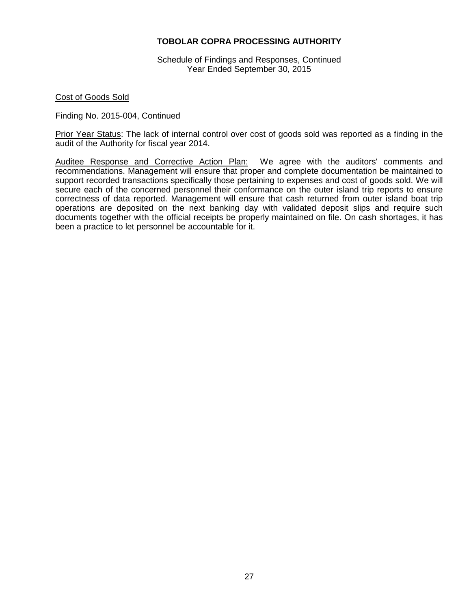Schedule of Findings and Responses, Continued Year Ended September 30, 2015

Cost of Goods Sold

## Finding No. 2015-004, Continued

Prior Year Status: The lack of internal control over cost of goods sold was reported as a finding in the audit of the Authority for fiscal year 2014.

Auditee Response and Corrective Action Plan: We agree with the auditors' comments and recommendations. Management will ensure that proper and complete documentation be maintained to support recorded transactions specifically those pertaining to expenses and cost of goods sold. We will secure each of the concerned personnel their conformance on the outer island trip reports to ensure correctness of data reported. Management will ensure that cash returned from outer island boat trip operations are deposited on the next banking day with validated deposit slips and require such documents together with the official receipts be properly maintained on file. On cash shortages, it has been a practice to let personnel be accountable for it.